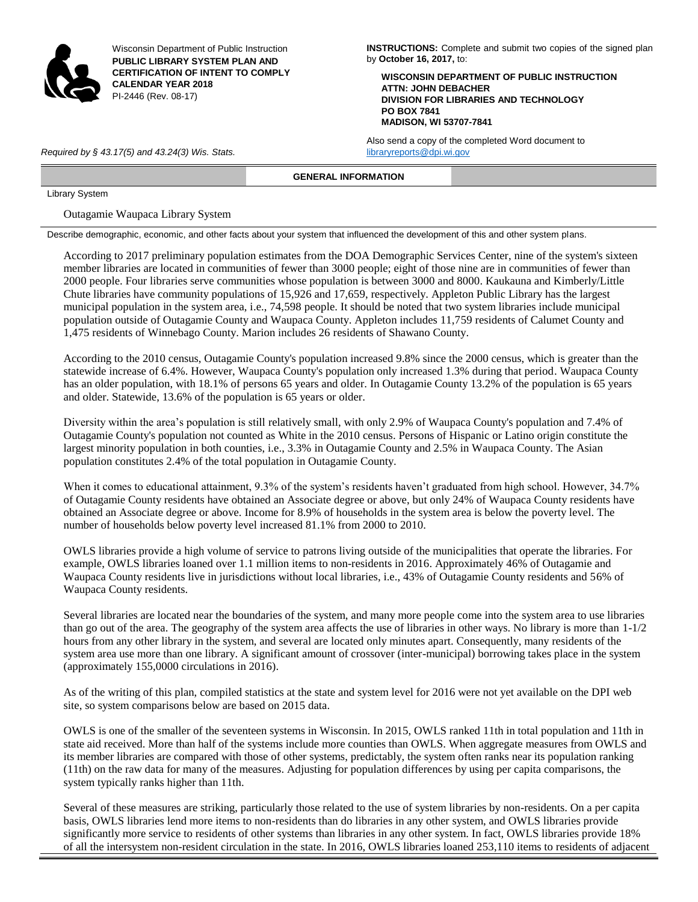

Wisconsin Department of Public Instruction **PUBLIC LIBRARY SYSTEM PLAN AND CERTIFICATION OF INTENT TO COMPLY CALENDAR YEAR 2018** PI-2446 (Rev. 08-17)

**INSTRUCTIONS:** Complete and submit two copies of the signed plan by **October 16, 2017,** to:

**WISCONSIN DEPARTMENT OF PUBLIC INSTRUCTION ATTN: JOHN DEBACHER DIVISION FOR LIBRARIES AND TECHNOLOGY PO BOX 7841 MADISON, WI 53707-7841**

Also send a copy of the completed Word document to *Required by § 43.17(5) and 43.24(3) Wis. Stats.* [libraryreports@dpi.wi.gov](mailto:libraryreports@dpi.wi.gov)

**GENERAL INFORMATION**

Library System

Outagamie Waupaca Library System

Describe demographic, economic, and other facts about your system that influenced the development of this and other system plans.

According to 2017 preliminary population estimates from the DOA Demographic Services Center, nine of the system's sixteen member libraries are located in communities of fewer than 3000 people; eight of those nine are in communities of fewer than 2000 people. Four libraries serve communities whose population is between 3000 and 8000. Kaukauna and Kimberly/Little Chute libraries have community populations of 15,926 and 17,659, respectively. Appleton Public Library has the largest municipal population in the system area, i.e., 74,598 people. It should be noted that two system libraries include municipal population outside of Outagamie County and Waupaca County. Appleton includes 11,759 residents of Calumet County and 1,475 residents of Winnebago County. Marion includes 26 residents of Shawano County.

According to the 2010 census, Outagamie County's population increased 9.8% since the 2000 census, which is greater than the statewide increase of 6.4%. However, Waupaca County's population only increased 1.3% during that period. Waupaca County has an older population, with 18.1% of persons 65 years and older. In Outagamie County 13.2% of the population is 65 years and older. Statewide, 13.6% of the population is 65 years or older.

Diversity within the area's population is still relatively small, with only 2.9% of Waupaca County's population and 7.4% of Outagamie County's population not counted as White in the 2010 census. Persons of Hispanic or Latino origin constitute the largest minority population in both counties, i.e., 3.3% in Outagamie County and 2.5% in Waupaca County. The Asian population constitutes 2.4% of the total population in Outagamie County.

When it comes to educational attainment, 9.3% of the system's residents haven't graduated from high school. However, 34.7% of Outagamie County residents have obtained an Associate degree or above, but only 24% of Waupaca County residents have obtained an Associate degree or above. Income for 8.9% of households in the system area is below the poverty level. The number of households below poverty level increased 81.1% from 2000 to 2010.

OWLS libraries provide a high volume of service to patrons living outside of the municipalities that operate the libraries. For example, OWLS libraries loaned over 1.1 million items to non-residents in 2016. Approximately 46% of Outagamie and Waupaca County residents live in jurisdictions without local libraries, i.e., 43% of Outagamie County residents and 56% of Waupaca County residents.

Several libraries are located near the boundaries of the system, and many more people come into the system area to use libraries than go out of the area. The geography of the system area affects the use of libraries in other ways. No library is more than 1-1/2 hours from any other library in the system, and several are located only minutes apart. Consequently, many residents of the system area use more than one library. A significant amount of crossover (inter-municipal) borrowing takes place in the system (approximately 155,0000 circulations in 2016).

As of the writing of this plan, compiled statistics at the state and system level for 2016 were not yet available on the DPI web site, so system comparisons below are based on 2015 data.

OWLS is one of the smaller of the seventeen systems in Wisconsin. In 2015, OWLS ranked 11th in total population and 11th in state aid received. More than half of the systems include more counties than OWLS. When aggregate measures from OWLS and its member libraries are compared with those of other systems, predictably, the system often ranks near its population ranking (11th) on the raw data for many of the measures. Adjusting for population differences by using per capita comparisons, the system typically ranks higher than 11th.

Several of these measures are striking, particularly those related to the use of system libraries by non-residents. On a per capita basis, OWLS libraries lend more items to non-residents than do libraries in any other system, and OWLS libraries provide significantly more service to residents of other systems than libraries in any other system. In fact, OWLS libraries provide 18% of all the intersystem non-resident circulation in the state. In 2016, OWLS libraries loaned 253,110 items to residents of adjacent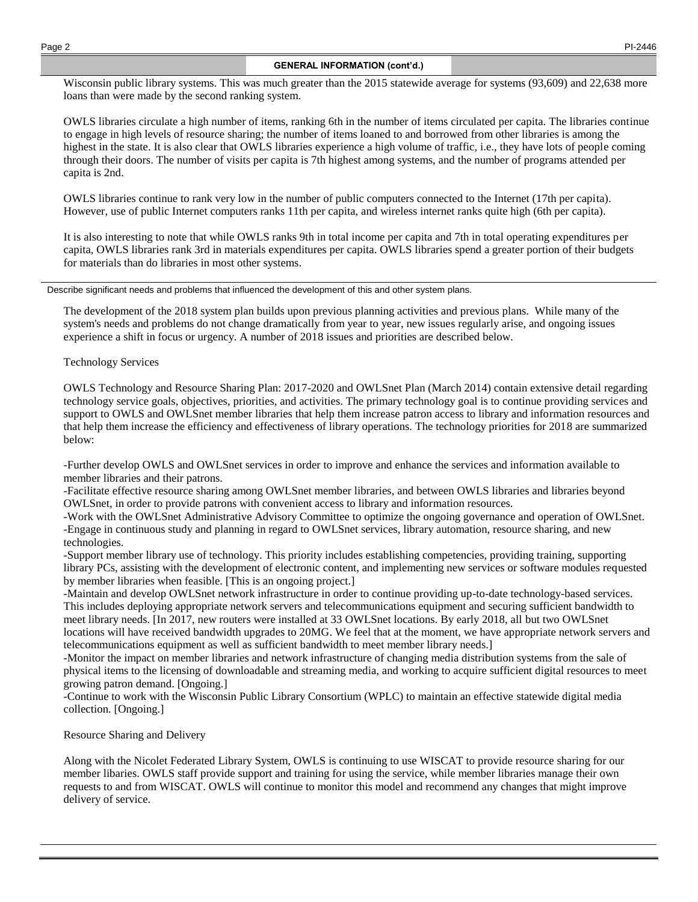# **GENERAL INFORMATION (cont'd.)**

Wisconsin public library systems. This was much greater than the 2015 statewide average for systems (93,609) and 22,638 more loans than were made by the second ranking system.

OWLS libraries circulate a high number of items, ranking 6th in the number of items circulated per capita. The libraries continue to engage in high levels of resource sharing; the number of items loaned to and borrowed from other libraries is among the highest in the state. It is also clear that OWLS libraries experience a high volume of traffic, i.e., they have lots of people coming through their doors. The number of visits per capita is 7th highest among systems, and the number of programs attended per capita is 2nd.

OWLS libraries continue to rank very low in the number of public computers connected to the Internet (17th per capita). However, use of public Internet computers ranks 11th per capita, and wireless internet ranks quite high (6th per capita).

It is also interesting to note that while OWLS ranks 9th in total income per capita and 7th in total operating expenditures per capita, OWLS libraries rank 3rd in materials expenditures per capita. OWLS libraries spend a greater portion of their budgets for materials than do libraries in most other systems.

Describe significant needs and problems that influenced the development of this and other system plans.

The development of the 2018 system plan builds upon previous planning activities and previous plans. While many of the system's needs and problems do not change dramatically from year to year, new issues regularly arise, and ongoing issues experience a shift in focus or urgency. A number of 2018 issues and priorities are described below.

# Technology Services

OWLS Technology and Resource Sharing Plan: 2017-2020 and OWLSnet Plan (March 2014) contain extensive detail regarding technology service goals, objectives, priorities, and activities. The primary technology goal is to continue providing services and support to OWLS and OWLSnet member libraries that help them increase patron access to library and information resources and that help them increase the efficiency and effectiveness of library operations. The technology priorities for 2018 are summarized below:

-Further develop OWLS and OWLSnet services in order to improve and enhance the services and information available to member libraries and their patrons.

-Facilitate effective resource sharing among OWLSnet member libraries, and between OWLS libraries and libraries beyond OWLSnet, in order to provide patrons with convenient access to library and information resources.

-Work with the OWLSnet Administrative Advisory Committee to optimize the ongoing governance and operation of OWLSnet. -Engage in continuous study and planning in regard to OWLSnet services, library automation, resource sharing, and new technologies.

-Support member library use of technology. This priority includes establishing competencies, providing training, supporting library PCs, assisting with the development of electronic content, and implementing new services or software modules requested by member libraries when feasible. [This is an ongoing project.]

-Maintain and develop OWLSnet network infrastructure in order to continue providing up-to-date technology-based services. This includes deploying appropriate network servers and telecommunications equipment and securing sufficient bandwidth to meet library needs. [In 2017, new routers were installed at 33 OWLSnet locations. By early 2018, all but two OWLSnet locations will have received bandwidth upgrades to 20MG. We feel that at the moment, we have appropriate network servers and telecommunications equipment as well as sufficient bandwidth to meet member library needs.]

-Monitor the impact on member libraries and network infrastructure of changing media distribution systems from the sale of physical items to the licensing of downloadable and streaming media, and working to acquire sufficient digital resources to meet growing patron demand. [Ongoing.]

-Continue to work with the Wisconsin Public Library Consortium (WPLC) to maintain an effective statewide digital media collection. [Ongoing.]

# Resource Sharing and Delivery

Along with the Nicolet Federated Library System, OWLS is continuing to use WISCAT to provide resource sharing for our member libaries. OWLS staff provide support and training for using the service, while member libraries manage their own requests to and from WISCAT. OWLS will continue to monitor this model and recommend any changes that might improve delivery of service.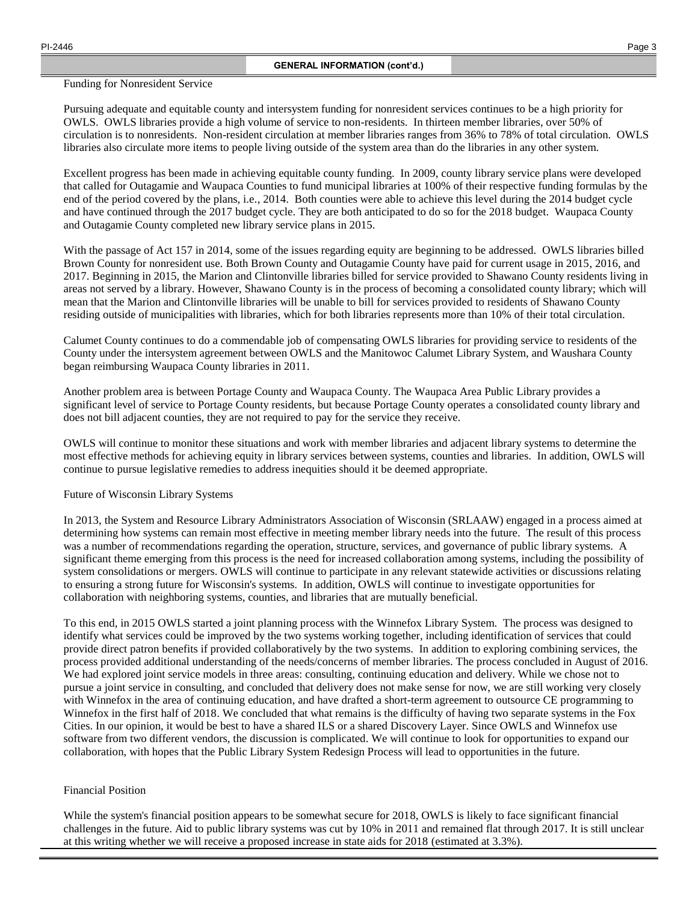Funding for Nonresident Service

Pursuing adequate and equitable county and intersystem funding for nonresident services continues to be a high priority for OWLS. OWLS libraries provide a high volume of service to non-residents. In thirteen member libraries, over 50% of circulation is to nonresidents. Non-resident circulation at member libraries ranges from 36% to 78% of total circulation. OWLS libraries also circulate more items to people living outside of the system area than do the libraries in any other system.

Excellent progress has been made in achieving equitable county funding. In 2009, county library service plans were developed that called for Outagamie and Waupaca Counties to fund municipal libraries at 100% of their respective funding formulas by the end of the period covered by the plans, i.e., 2014. Both counties were able to achieve this level during the 2014 budget cycle and have continued through the 2017 budget cycle. They are both anticipated to do so for the 2018 budget. Waupaca County and Outagamie County completed new library service plans in 2015.

With the passage of Act 157 in 2014, some of the issues regarding equity are beginning to be addressed. OWLS libraries billed Brown County for nonresident use. Both Brown County and Outagamie County have paid for current usage in 2015, 2016, and 2017. Beginning in 2015, the Marion and Clintonville libraries billed for service provided to Shawano County residents living in areas not served by a library. However, Shawano County is in the process of becoming a consolidated county library; which will mean that the Marion and Clintonville libraries will be unable to bill for services provided to residents of Shawano County residing outside of municipalities with libraries, which for both libraries represents more than 10% of their total circulation.

Calumet County continues to do a commendable job of compensating OWLS libraries for providing service to residents of the County under the intersystem agreement between OWLS and the Manitowoc Calumet Library System, and Waushara County began reimbursing Waupaca County libraries in 2011.

Another problem area is between Portage County and Waupaca County. The Waupaca Area Public Library provides a significant level of service to Portage County residents, but because Portage County operates a consolidated county library and does not bill adjacent counties, they are not required to pay for the service they receive.

OWLS will continue to monitor these situations and work with member libraries and adjacent library systems to determine the most effective methods for achieving equity in library services between systems, counties and libraries. In addition, OWLS will continue to pursue legislative remedies to address inequities should it be deemed appropriate.

# Future of Wisconsin Library Systems

In 2013, the System and Resource Library Administrators Association of Wisconsin (SRLAAW) engaged in a process aimed at determining how systems can remain most effective in meeting member library needs into the future. The result of this process was a number of recommendations regarding the operation, structure, services, and governance of public library systems. A significant theme emerging from this process is the need for increased collaboration among systems, including the possibility of system consolidations or mergers. OWLS will continue to participate in any relevant statewide activities or discussions relating to ensuring a strong future for Wisconsin's systems. In addition, OWLS will continue to investigate opportunities for collaboration with neighboring systems, counties, and libraries that are mutually beneficial.

To this end, in 2015 OWLS started a joint planning process with the Winnefox Library System. The process was designed to identify what services could be improved by the two systems working together, including identification of services that could provide direct patron benefits if provided collaboratively by the two systems. In addition to exploring combining services, the process provided additional understanding of the needs/concerns of member libraries. The process concluded in August of 2016. We had explored joint service models in three areas: consulting, continuing education and delivery. While we chose not to pursue a joint service in consulting, and concluded that delivery does not make sense for now, we are still working very closely with Winnefox in the area of continuing education, and have drafted a short-term agreement to outsource CE programming to Winnefox in the first half of 2018. We concluded that what remains is the difficulty of having two separate systems in the Fox Cities. In our opinion, it would be best to have a shared ILS or a shared Discovery Layer. Since OWLS and Winnefox use software from two different vendors, the discussion is complicated. We will continue to look for opportunities to expand our collaboration, with hopes that the Public Library System Redesign Process will lead to opportunities in the future.

# Financial Position

While the system's financial position appears to be somewhat secure for 2018, OWLS is likely to face significant financial challenges in the future. Aid to public library systems was cut by 10% in 2011 and remained flat through 2017. It is still unclear at this writing whether we will receive a proposed increase in state aids for 2018 (estimated at 3.3%).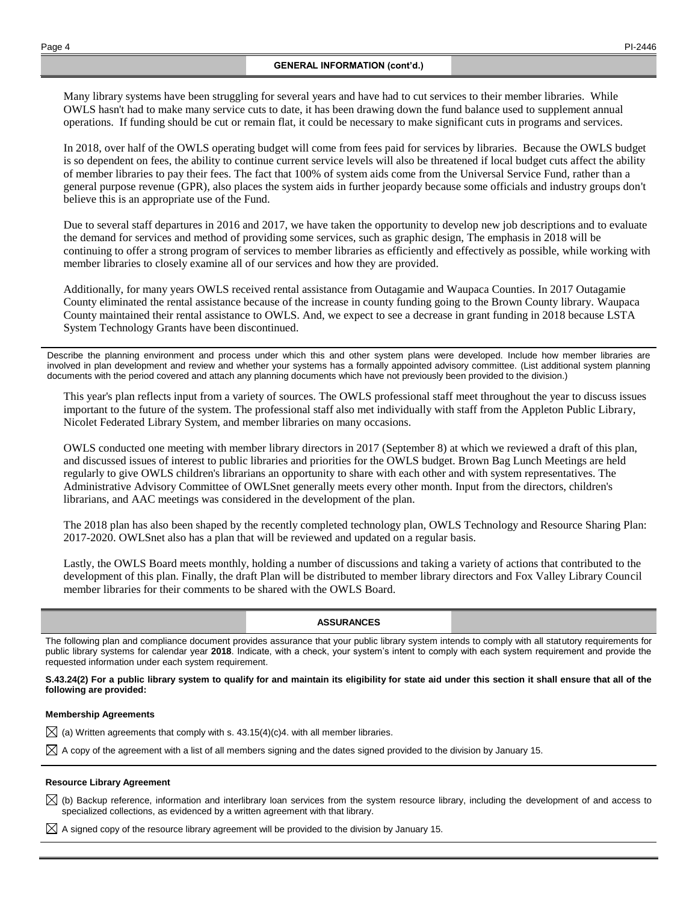Many library systems have been struggling for several years and have had to cut services to their member libraries. While OWLS hasn't had to make many service cuts to date, it has been drawing down the fund balance used to supplement annual operations. If funding should be cut or remain flat, it could be necessary to make significant cuts in programs and services.

In 2018, over half of the OWLS operating budget will come from fees paid for services by libraries. Because the OWLS budget is so dependent on fees, the ability to continue current service levels will also be threatened if local budget cuts affect the ability of member libraries to pay their fees. The fact that 100% of system aids come from the Universal Service Fund, rather than a general purpose revenue (GPR), also places the system aids in further jeopardy because some officials and industry groups don't believe this is an appropriate use of the Fund.

Due to several staff departures in 2016 and 2017, we have taken the opportunity to develop new job descriptions and to evaluate the demand for services and method of providing some services, such as graphic design, The emphasis in 2018 will be continuing to offer a strong program of services to member libraries as efficiently and effectively as possible, while working with member libraries to closely examine all of our services and how they are provided.

Additionally, for many years OWLS received rental assistance from Outagamie and Waupaca Counties. In 2017 Outagamie County eliminated the rental assistance because of the increase in county funding going to the Brown County library. Waupaca County maintained their rental assistance to OWLS. And, we expect to see a decrease in grant funding in 2018 because LSTA System Technology Grants have been discontinued.

Describe the planning environment and process under which this and other system plans were developed. Include how member libraries are involved in plan development and review and whether your systems has a formally appointed advisory committee. (List additional system planning documents with the period covered and attach any planning documents which have not previously been provided to the division.)

This year's plan reflects input from a variety of sources. The OWLS professional staff meet throughout the year to discuss issues important to the future of the system. The professional staff also met individually with staff from the Appleton Public Library, Nicolet Federated Library System, and member libraries on many occasions.

OWLS conducted one meeting with member library directors in 2017 (September 8) at which we reviewed a draft of this plan, and discussed issues of interest to public libraries and priorities for the OWLS budget. Brown Bag Lunch Meetings are held regularly to give OWLS children's librarians an opportunity to share with each other and with system representatives. The Administrative Advisory Committee of OWLSnet generally meets every other month. Input from the directors, children's librarians, and AAC meetings was considered in the development of the plan.

The 2018 plan has also been shaped by the recently completed technology plan, OWLS Technology and Resource Sharing Plan: 2017-2020. OWLSnet also has a plan that will be reviewed and updated on a regular basis.

Lastly, the OWLS Board meets monthly, holding a number of discussions and taking a variety of actions that contributed to the development of this plan. Finally, the draft Plan will be distributed to member library directors and Fox Valley Library Council member libraries for their comments to be shared with the OWLS Board.

#### **ASSURANCES**

The following plan and compliance document provides assurance that your public library system intends to comply with all statutory requirements for public library systems for calendar year **2018**. Indicate, with a check, your system's intent to comply with each system requirement and provide the requested information under each system requirement.

**S.43.24(2) For a public library system to qualify for and maintain its eligibility for state aid under this section it shall ensure that all of the following are provided:**

#### **Membership Agreements**

 $\boxtimes$  (a) Written agreements that comply with s. 43.15(4)(c)4. with all member libraries.

 $\boxtimes$  A copy of the agreement with a list of all members signing and the dates signed provided to the division by January 15.

#### **Resource Library Agreement**

 $\boxtimes$  (b) Backup reference, information and interlibrary loan services from the system resource library, including the development of and access to specialized collections, as evidenced by a written agreement with that library.

 $\boxtimes$  A signed copy of the resource library agreement will be provided to the division by January 15.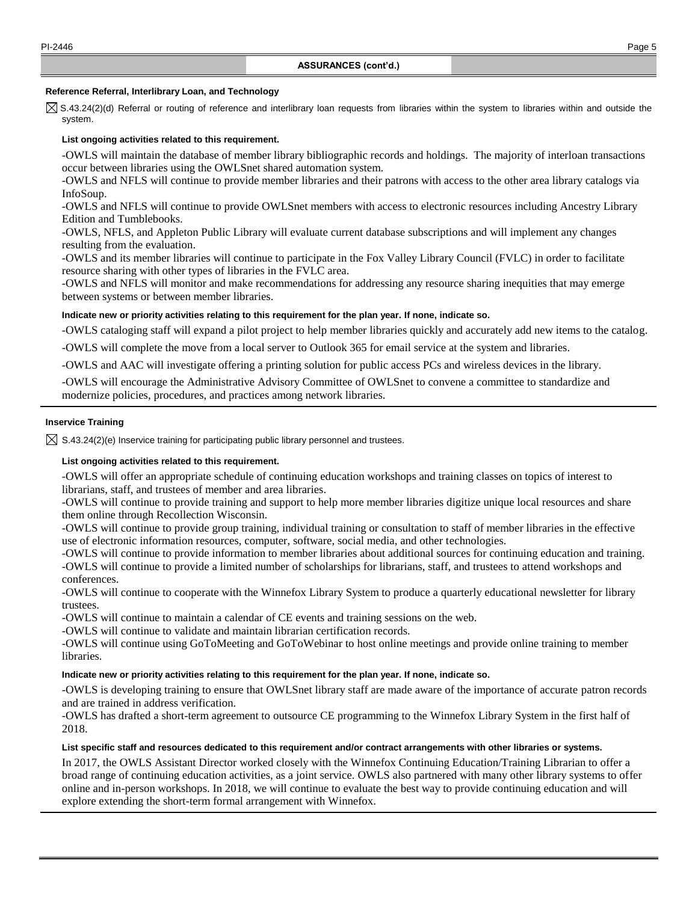#### **Reference Referral, Interlibrary Loan, and Technology**

 $\boxtimes$  S.43.24(2)(d) Referral or routing of reference and interlibrary loan requests from libraries within the system to libraries within and outside the system.

#### **List ongoing activities related to this requirement.**

-OWLS will maintain the database of member library bibliographic records and holdings. The majority of interloan transactions occur between libraries using the OWLSnet shared automation system.

-OWLS and NFLS will continue to provide member libraries and their patrons with access to the other area library catalogs via InfoSoup.

-OWLS and NFLS will continue to provide OWLSnet members with access to electronic resources including Ancestry Library Edition and Tumblebooks.

-OWLS, NFLS, and Appleton Public Library will evaluate current database subscriptions and will implement any changes resulting from the evaluation.

-OWLS and its member libraries will continue to participate in the Fox Valley Library Council (FVLC) in order to facilitate resource sharing with other types of libraries in the FVLC area.

-OWLS and NFLS will monitor and make recommendations for addressing any resource sharing inequities that may emerge between systems or between member libraries.

#### **Indicate new or priority activities relating to this requirement for the plan year. If none, indicate so.**

-OWLS cataloging staff will expand a pilot project to help member libraries quickly and accurately add new items to the catalog.

-OWLS will complete the move from a local server to Outlook 365 for email service at the system and libraries.

-OWLS and AAC will investigate offering a printing solution for public access PCs and wireless devices in the library.

-OWLS will encourage the Administrative Advisory Committee of OWLSnet to convene a committee to standardize and modernize policies, procedures, and practices among network libraries.

## **Inservice Training**

 $\boxtimes$  S.43.24(2)(e) Inservice training for participating public library personnel and trustees.

#### **List ongoing activities related to this requirement.**

-OWLS will offer an appropriate schedule of continuing education workshops and training classes on topics of interest to librarians, staff, and trustees of member and area libraries.

-OWLS will continue to provide training and support to help more member libraries digitize unique local resources and share them online through Recollection Wisconsin.

-OWLS will continue to provide group training, individual training or consultation to staff of member libraries in the effective use of electronic information resources, computer, software, social media, and other technologies.

-OWLS will continue to provide information to member libraries about additional sources for continuing education and training. -OWLS will continue to provide a limited number of scholarships for librarians, staff, and trustees to attend workshops and conferences.

-OWLS will continue to cooperate with the Winnefox Library System to produce a quarterly educational newsletter for library trustees.

-OWLS will continue to maintain a calendar of CE events and training sessions on the web.

-OWLS will continue to validate and maintain librarian certification records.

-OWLS will continue using GoToMeeting and GoToWebinar to host online meetings and provide online training to member libraries.

## **Indicate new or priority activities relating to this requirement for the plan year. If none, indicate so.**

-OWLS is developing training to ensure that OWLSnet library staff are made aware of the importance of accurate patron records and are trained in address verification.

-OWLS has drafted a short-term agreement to outsource CE programming to the Winnefox Library System in the first half of 2018.

## **List specific staff and resources dedicated to this requirement and/or contract arrangements with other libraries or systems.**

In 2017, the OWLS Assistant Director worked closely with the Winnefox Continuing Education/Training Librarian to offer a broad range of continuing education activities, as a joint service. OWLS also partnered with many other library systems to offer online and in-person workshops. In 2018, we will continue to evaluate the best way to provide continuing education and will explore extending the short-term formal arrangement with Winnefox.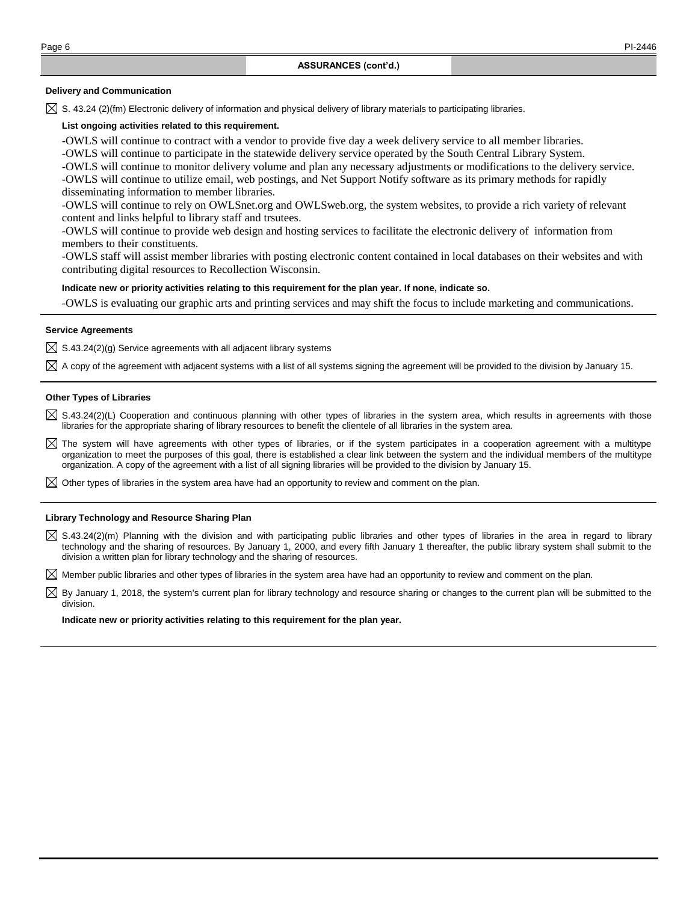## **Delivery and Communication**

 $\boxtimes$  S. 43.24 (2)(fm) Electronic delivery of information and physical delivery of library materials to participating libraries.

## **List ongoing activities related to this requirement.**

-OWLS will continue to contract with a vendor to provide five day a week delivery service to all member libraries.

-OWLS will continue to participate in the statewide delivery service operated by the South Central Library System.

-OWLS will continue to monitor delivery volume and plan any necessary adjustments or modifications to the delivery service. -OWLS will continue to utilize email, web postings, and Net Support Notify software as its primary methods for rapidly

disseminating information to member libraries. -OWLS will continue to rely on OWLSnet.org and OWLSweb.org, the system websites, to provide a rich variety of relevant

content and links helpful to library staff and trsutees.

-OWLS will continue to provide web design and hosting services to facilitate the electronic delivery of information from members to their constituents.

-OWLS staff will assist member libraries with posting electronic content contained in local databases on their websites and with contributing digital resources to Recollection Wisconsin.

#### **Indicate new or priority activities relating to this requirement for the plan year. If none, indicate so.**

-OWLS is evaluating our graphic arts and printing services and may shift the focus to include marketing and communications.

### **Service Agreements**

 $\boxtimes$  S.43.24(2)(g) Service agreements with all adjacent library systems

 $\boxtimes$  A copy of the agreement with adjacent systems with a list of all systems signing the agreement will be provided to the division by January 15.

#### **Other Types of Libraries**

 $\boxtimes$  S.43.24(2)(L) Cooperation and continuous planning with other types of libraries in the system area, which results in agreements with those libraries for the appropriate sharing of library resources to benefit the clientele of all libraries in the system area.

 $\boxtimes$  The system will have agreements with other types of libraries, or if the system participates in a cooperation agreement with a multitype organization to meet the purposes of this goal, there is established a clear link between the system and the individual members of the multitype organization. A copy of the agreement with a list of all signing libraries will be provided to the division by January 15.

 $\boxtimes$  Other types of libraries in the system area have had an opportunity to review and comment on the plan.

#### **Library Technology and Resource Sharing Plan**

 $\boxtimes$  S.43.24(2)(m) Planning with the division and with participating public libraries and other types of libraries in the area in regard to library technology and the sharing of resources. By January 1, 2000, and every fifth January 1 thereafter, the public library system shall submit to the division a written plan for library technology and the sharing of resources.

 $\boxtimes$  Member public libraries and other types of libraries in the system area have had an opportunity to review and comment on the plan.

 $\boxtimes$  By January 1, 2018, the system's current plan for library technology and resource sharing or changes to the current plan will be submitted to the division.

#### **Indicate new or priority activities relating to this requirement for the plan year.**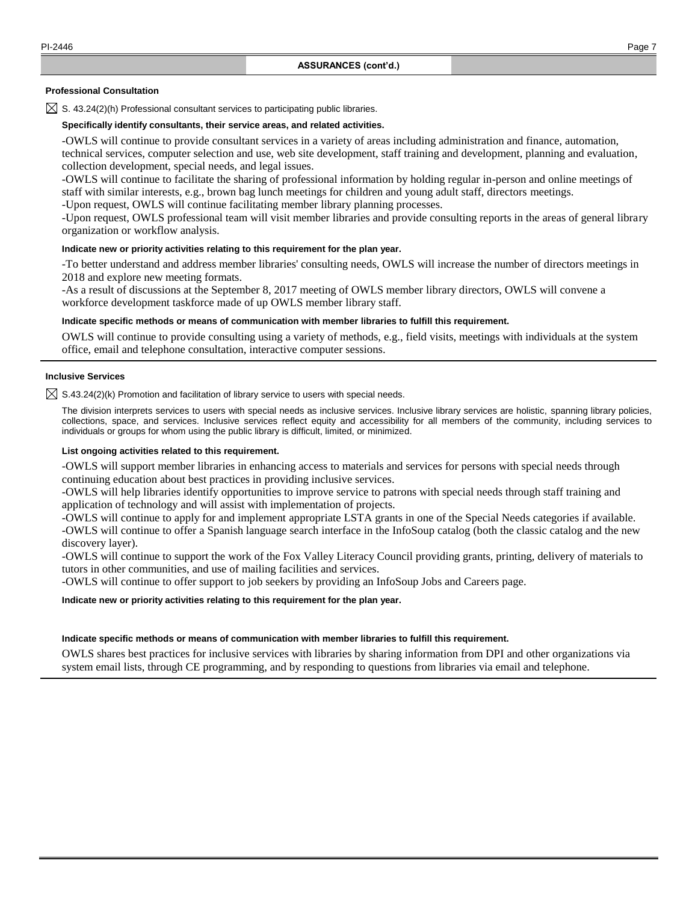#### **Professional Consultation**

 $\boxtimes$  S. 43.24(2)(h) Professional consultant services to participating public libraries.

## **Specifically identify consultants, their service areas, and related activities.**

-OWLS will continue to provide consultant services in a variety of areas including administration and finance, automation, technical services, computer selection and use, web site development, staff training and development, planning and evaluation, collection development, special needs, and legal issues.

-OWLS will continue to facilitate the sharing of professional information by holding regular in-person and online meetings of staff with similar interests, e.g., brown bag lunch meetings for children and young adult staff, directors meetings. -Upon request, OWLS will continue facilitating member library planning processes.

-Upon request, OWLS professional team will visit member libraries and provide consulting reports in the areas of general library organization or workflow analysis.

## **Indicate new or priority activities relating to this requirement for the plan year.**

-To better understand and address member libraries' consulting needs, OWLS will increase the number of directors meetings in 2018 and explore new meeting formats.

-As a result of discussions at the September 8, 2017 meeting of OWLS member library directors, OWLS will convene a workforce development taskforce made of up OWLS member library staff.

### **Indicate specific methods or means of communication with member libraries to fulfill this requirement.**

OWLS will continue to provide consulting using a variety of methods, e.g., field visits, meetings with individuals at the system office, email and telephone consultation, interactive computer sessions.

#### **Inclusive Services**

 $\boxtimes$  S.43.24(2)(k) Promotion and facilitation of library service to users with special needs.

The division interprets services to users with special needs as inclusive services. Inclusive library services are holistic, spanning library policies, collections, space, and services. Inclusive services reflect equity and accessibility for all members of the community, including services to individuals or groups for whom using the public library is difficult, limited, or minimized.

## **List ongoing activities related to this requirement.**

-OWLS will support member libraries in enhancing access to materials and services for persons with special needs through continuing education about best practices in providing inclusive services.

-OWLS will help libraries identify opportunities to improve service to patrons with special needs through staff training and application of technology and will assist with implementation of projects.

-OWLS will continue to apply for and implement appropriate LSTA grants in one of the Special Needs categories if available. -OWLS will continue to offer a Spanish language search interface in the InfoSoup catalog (both the classic catalog and the new discovery layer).

-OWLS will continue to support the work of the Fox Valley Literacy Council providing grants, printing, delivery of materials to tutors in other communities, and use of mailing facilities and services.

-OWLS will continue to offer support to job seekers by providing an InfoSoup Jobs and Careers page.

#### **Indicate new or priority activities relating to this requirement for the plan year.**

#### **Indicate specific methods or means of communication with member libraries to fulfill this requirement.**

OWLS shares best practices for inclusive services with libraries by sharing information from DPI and other organizations via system email lists, through CE programming, and by responding to questions from libraries via email and telephone.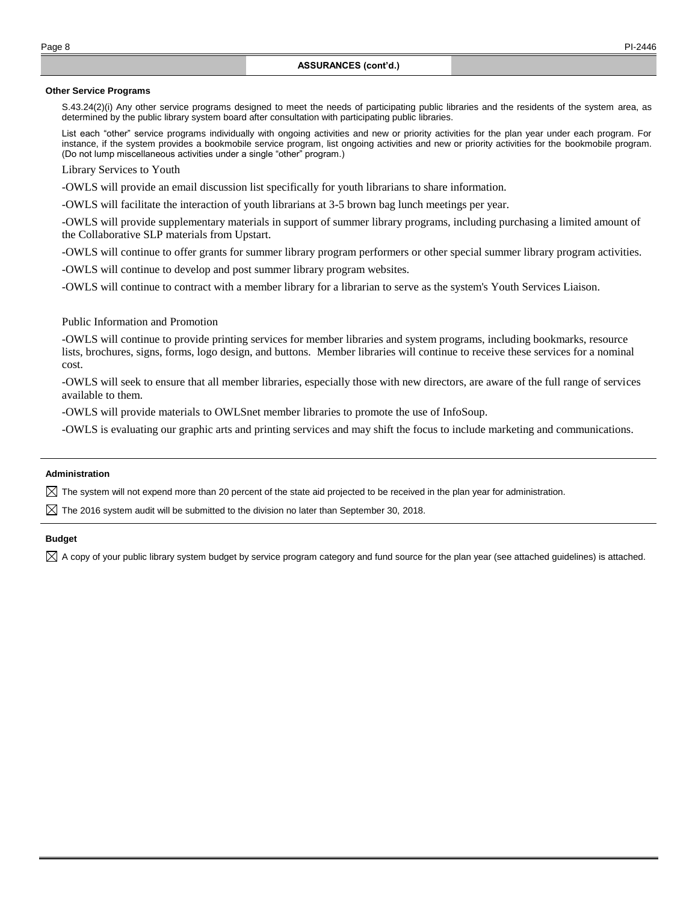#### **Other Service Programs**

S.43.24(2)(i) Any other service programs designed to meet the needs of participating public libraries and the residents of the system area, as determined by the public library system board after consultation with participating public libraries.

List each "other" service programs individually with ongoing activities and new or priority activities for the plan year under each program. For instance, if the system provides a bookmobile service program, list ongoing activities and new or priority activities for the bookmobile program. (Do not lump miscellaneous activities under a single "other" program.)

Library Services to Youth

-OWLS will provide an email discussion list specifically for youth librarians to share information.

-OWLS will facilitate the interaction of youth librarians at 3-5 brown bag lunch meetings per year.

-OWLS will provide supplementary materials in support of summer library programs, including purchasing a limited amount of the Collaborative SLP materials from Upstart.

-OWLS will continue to offer grants for summer library program performers or other special summer library program activities.

-OWLS will continue to develop and post summer library program websites.

-OWLS will continue to contract with a member library for a librarian to serve as the system's Youth Services Liaison.

## Public Information and Promotion

-OWLS will continue to provide printing services for member libraries and system programs, including bookmarks, resource lists, brochures, signs, forms, logo design, and buttons. Member libraries will continue to receive these services for a nominal cost.

-OWLS will seek to ensure that all member libraries, especially those with new directors, are aware of the full range of services available to them.

-OWLS will provide materials to OWLSnet member libraries to promote the use of InfoSoup.

-OWLS is evaluating our graphic arts and printing services and may shift the focus to include marketing and communications.

#### **Administration**

 $\boxtimes$  The system will not expend more than 20 percent of the state aid projected to be received in the plan year for administration.

 $\boxtimes$  The 2016 system audit will be submitted to the division no later than September 30, 2018.

## **Budget**

 $\boxtimes$  A copy of your public library system budget by service program category and fund source for the plan year (see attached guidelines) is attached.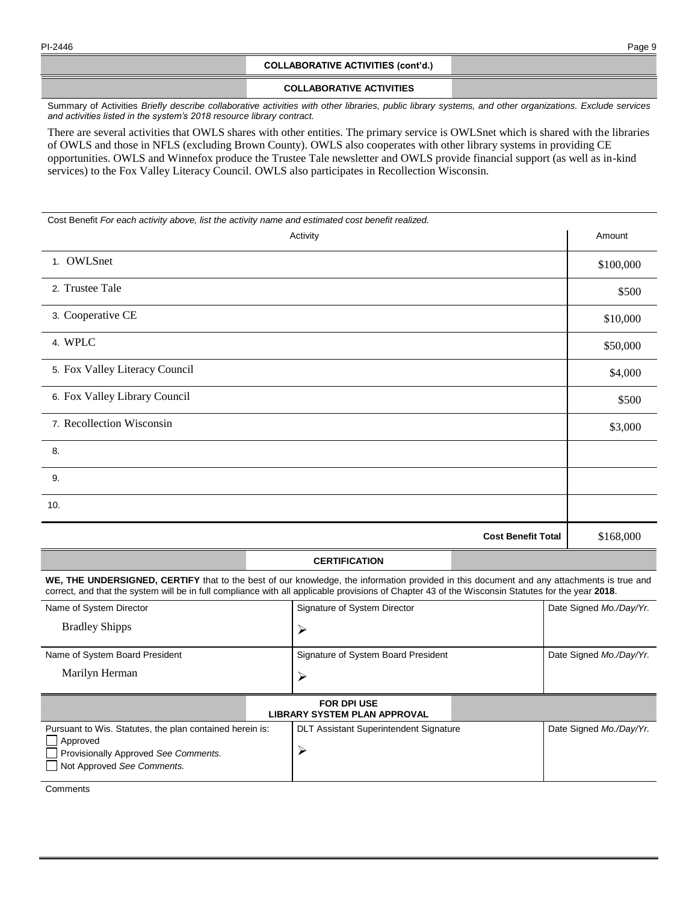## **COLLABORATIVE ACTIVITIES (cont'd.)**

## **COLLABORATIVE ACTIVITIES**

Summary of Activities *Briefly describe collaborative activities with other libraries, public library systems, and other organizations. Exclude services and activities listed in the system's 2018 resource library contract.*

There are several activities that OWLS shares with other entities. The primary service is OWLSnet which is shared with the libraries of OWLS and those in NFLS (excluding Brown County). OWLS also cooperates with other library systems in providing CE opportunities. OWLS and Winnefox produce the Trustee Tale newsletter and OWLS provide financial support (as well as in-kind services) to the Fox Valley Literacy Council. OWLS also participates in Recollection Wisconsin.

Cost Benefit *For each activity above, list the activity name and estimated cost benefit realized.* Activity Amount Activity Amount Amount Amount Amount Amount Amount Amount Amount Amount 1. OWLSnet \$100,000 2. Trustee Tale  $$500$ 3. Cooperative CE  $$10,000$ 4. WPLC  $\frac{1}{350,000}$ 5. Fox Valley Literacy Council \$4,000 6. Fox Valley Library Council \$500 7. Recollection Wisconsin  $\frac{1}{3,000}$ 8. 9. 10. **Cost Benefit Total** \$168,000

# **CERTIFICATION**

**WE, THE UNDERSIGNED, CERTIFY** that to the best of our knowledge, the information provided in this document and any attachments is true and correct, and that the system will be in full compliance with all applicable provisions of Chapter 43 of the Wisconsin Statutes for the year **2018**.

| Name of System Director                                                                                                                    | Signature of System Director                  | Date Signed Mo./Day/Yr. |  |  |  |
|--------------------------------------------------------------------------------------------------------------------------------------------|-----------------------------------------------|-------------------------|--|--|--|
| <b>Bradley Shipps</b>                                                                                                                      |                                               |                         |  |  |  |
| Name of System Board President                                                                                                             | Signature of System Board President           | Date Signed Mo./Day/Yr. |  |  |  |
| Marilyn Herman                                                                                                                             |                                               |                         |  |  |  |
| <b>FOR DPI USE</b><br><b>LIBRARY SYSTEM PLAN APPROVAL</b>                                                                                  |                                               |                         |  |  |  |
| Pursuant to Wis. Statutes, the plan contained herein is:<br>Approved<br>Provisionally Approved See Comments.<br>Not Approved See Comments. | <b>DLT Assistant Superintendent Signature</b> | Date Signed Mo./Day/Yr. |  |  |  |

**Comments**